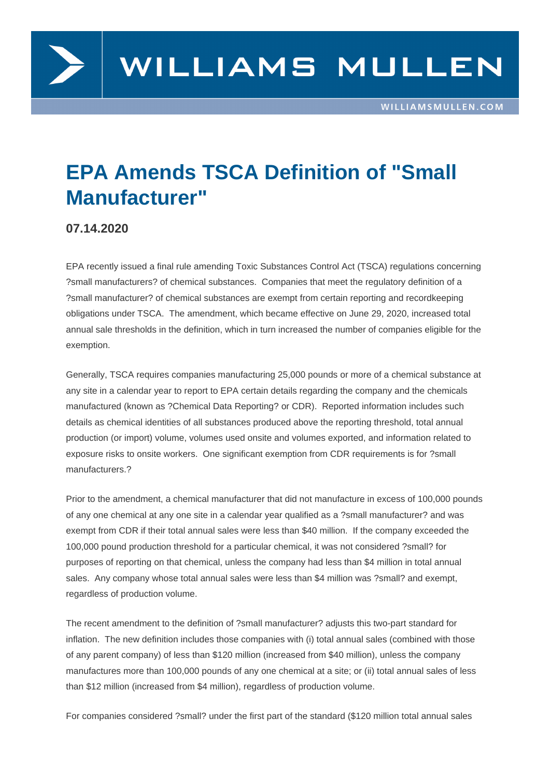

## **EPA Amends TSCA Definition of "Small Manufacturer"**

## **07.14.2020**

EPA recently issued a final rule amending Toxic Substances Control Act (TSCA) regulations concerning ?small manufacturers? of chemical substances. Companies that meet the regulatory definition of a ?small manufacturer? of chemical substances are exempt from certain reporting and recordkeeping obligations under TSCA. The amendment, which became effective on June 29, 2020, increased total annual sale thresholds in the definition, which in turn increased the number of companies eligible for the exemption.

Generally, TSCA requires companies manufacturing 25,000 pounds or more of a chemical substance at any site in a calendar year to report to EPA certain details regarding the company and the chemicals manufactured (known as ?Chemical Data Reporting? or CDR). Reported information includes such details as chemical identities of all substances produced above the reporting threshold, total annual production (or import) volume, volumes used onsite and volumes exported, and information related to exposure risks to onsite workers. One significant exemption from CDR requirements is for ?small manufacturers.?

Prior to the amendment, a chemical manufacturer that did not manufacture in excess of 100,000 pounds of any one chemical at any one site in a calendar year qualified as a ?small manufacturer? and was exempt from CDR if their total annual sales were less than \$40 million. If the company exceeded the 100,000 pound production threshold for a particular chemical, it was not considered ?small? for purposes of reporting on that chemical, unless the company had less than \$4 million in total annual sales. Any company whose total annual sales were less than \$4 million was ?small? and exempt, regardless of production volume.

The recent amendment to the definition of ?small manufacturer? adjusts this two-part standard for inflation. The new definition includes those companies with (i) total annual sales (combined with those of any parent company) of less than \$120 million (increased from \$40 million), unless the company manufactures more than 100,000 pounds of any one chemical at a site; or (ii) total annual sales of less than \$12 million (increased from \$4 million), regardless of production volume.

For companies considered ?small? under the first part of the standard (\$120 million total annual sales